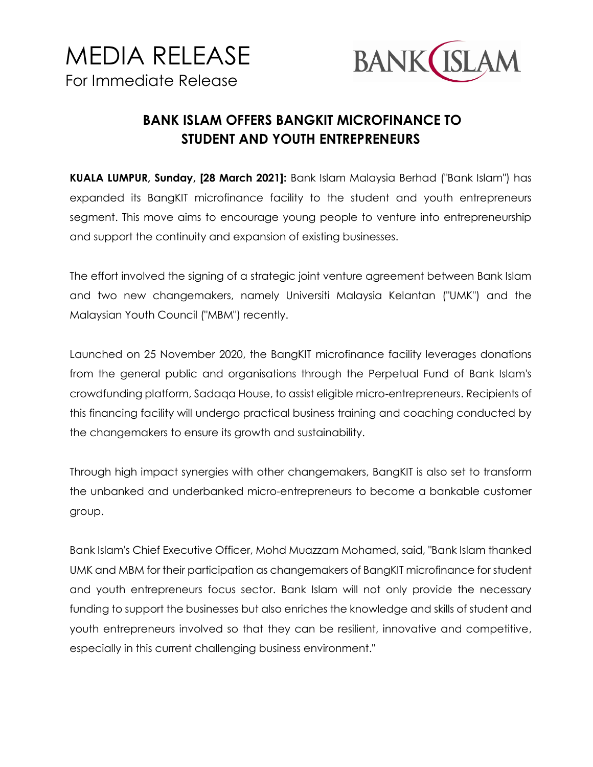



## **BANK ISLAM OFFERS BANGKIT MICROFINANCE TO STUDENT AND YOUTH ENTREPRENEURS**

**KUALA LUMPUR, Sunday, [28 March 2021]:** Bank Islam Malaysia Berhad ("Bank Islam") has expanded its BangKIT microfinance facility to the student and youth entrepreneurs segment. This move aims to encourage young people to venture into entrepreneurship and support the continuity and expansion of existing businesses.

The effort involved the signing of a strategic joint venture agreement between Bank Islam and two new changemakers, namely Universiti Malaysia Kelantan ("UMK") and the Malaysian Youth Council ("MBM") recently.

Launched on 25 November 2020, the BangKIT microfinance facility leverages donations from the general public and organisations through the Perpetual Fund of Bank Islam's crowdfunding platform, Sadaqa House, to assist eligible micro-entrepreneurs. Recipients of this financing facility will undergo practical business training and coaching conducted by the changemakers to ensure its growth and sustainability.

Through high impact synergies with other changemakers, BangKIT is also set to transform the unbanked and underbanked micro-entrepreneurs to become a bankable customer group.

Bank Islam's Chief Executive Officer, Mohd Muazzam Mohamed, said, "Bank Islam thanked UMK and MBM for their participation as changemakers of BangKIT microfinance for student and youth entrepreneurs focus sector. Bank Islam will not only provide the necessary funding to support the businesses but also enriches the knowledge and skills of student and youth entrepreneurs involved so that they can be resilient, innovative and competitive, especially in this current challenging business environment."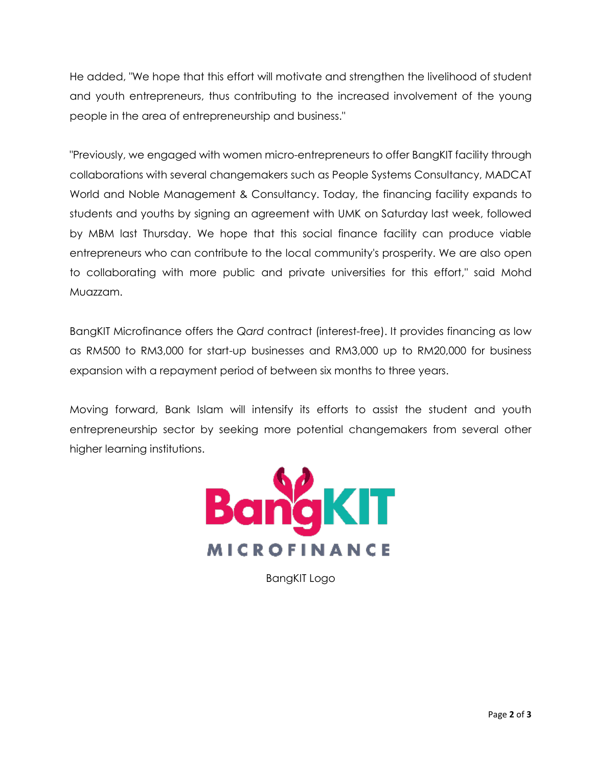He added, "We hope that this effort will motivate and strengthen the livelihood of student and youth entrepreneurs, thus contributing to the increased involvement of the young people in the area of entrepreneurship and business."

"Previously, we engaged with women micro-entrepreneurs to offer BangKIT facility through collaborations with several changemakers such as People Systems Consultancy, MADCAT World and Noble Management & Consultancy. Today, the financing facility expands to students and youths by signing an agreement with UMK on Saturday last week, followed by MBM last Thursday. We hope that this social finance facility can produce viable entrepreneurs who can contribute to the local community's prosperity. We are also open to collaborating with more public and private universities for this effort," said Mohd Muazzam.

BangKIT Microfinance offers the *Qard* contract (interest-free). It provides financing as low as RM500 to RM3,000 for start-up businesses and RM3,000 up to RM20,000 for business expansion with a repayment period of between six months to three years.

Moving forward, Bank Islam will intensify its efforts to assist the student and youth entrepreneurship sector by seeking more potential changemakers from several other higher learning institutions.



BangKIT Logo